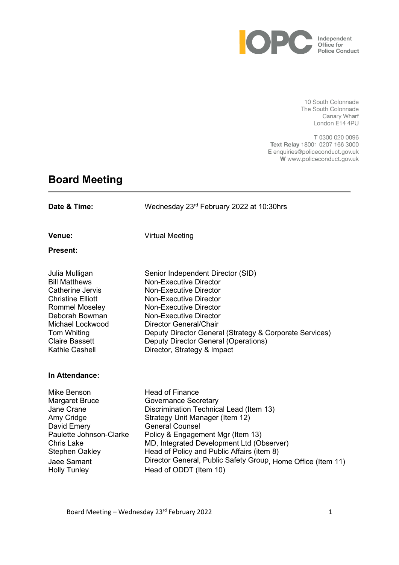

10 South Colonnade The South Colonnade Canary Wharf London E14 4PU

T 0300 020 0096 Text Relay 18001 0207 166 3000 E enquiries@policeconduct.gov.uk W www.policeconduct.gov.uk

# **Board Meeting**

| Date & Time:                                                                                                                                                                                                    | Wednesday 23rd February 2022 at 10:30hrs                                                                                                                                                                                                                                                                                                                                                |
|-----------------------------------------------------------------------------------------------------------------------------------------------------------------------------------------------------------------|-----------------------------------------------------------------------------------------------------------------------------------------------------------------------------------------------------------------------------------------------------------------------------------------------------------------------------------------------------------------------------------------|
| Venue:                                                                                                                                                                                                          | <b>Virtual Meeting</b>                                                                                                                                                                                                                                                                                                                                                                  |
| <b>Present:</b>                                                                                                                                                                                                 |                                                                                                                                                                                                                                                                                                                                                                                         |
| Julia Mulligan<br><b>Bill Matthews</b><br>Catherine Jervis<br><b>Christine Elliott</b><br><b>Rommel Moseley</b><br>Deborah Bowman<br>Michael Lockwood<br>Tom Whiting<br><b>Claire Bassett</b><br>Kathie Cashell | Senior Independent Director (SID)<br><b>Non-Executive Director</b><br><b>Non-Executive Director</b><br><b>Non-Executive Director</b><br>Non-Executive Director<br><b>Non-Executive Director</b><br>Director General/Chair<br>Deputy Director General (Strategy & Corporate Services)<br>Deputy Director General (Operations)<br>Director, Strategy & Impact                             |
| In Attendance:                                                                                                                                                                                                  |                                                                                                                                                                                                                                                                                                                                                                                         |
| Mike Benson<br><b>Margaret Bruce</b><br>Jane Crane<br>Amy Cridge<br>David Emery<br>Paulette Johnson-Clarke<br><b>Chris Lake</b><br><b>Stephen Oakley</b><br>Jaee Samant<br><b>Holly Tunley</b>                  | <b>Head of Finance</b><br><b>Governance Secretary</b><br>Discrimination Technical Lead (Item 13)<br>Strategy Unit Manager (Item 12)<br><b>General Counsel</b><br>Policy & Engagement Mgr (Item 13)<br>MD, Integrated Development Ltd (Observer)<br>Head of Policy and Public Affairs (item 8)<br>Director General, Public Safety Group, Home Office (Item 11)<br>Head of ODDT (Item 10) |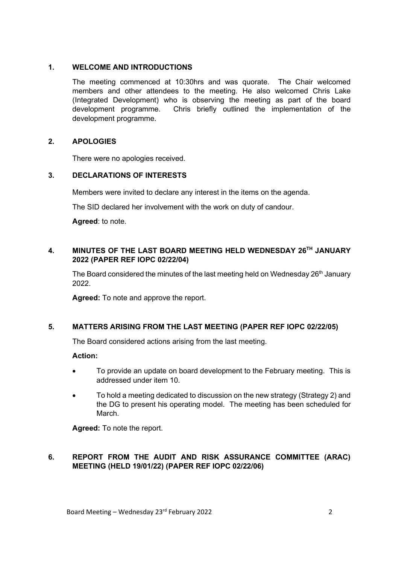#### **1. WELCOME AND INTRODUCTIONS**

The meeting commenced at 10:30hrs and was quorate. The Chair welcomed members and other attendees to the meeting. He also welcomed Chris Lake (Integrated Development) who is observing the meeting as part of the board development programme. Chris briefly outlined the implementation of the development programme.

## **2. APOLOGIES**

There were no apologies received.

## **3. DECLARATIONS OF INTERESTS**

Members were invited to declare any interest in the items on the agenda.

The SID declared her involvement with the work on duty of candour.

**Agreed**: to note.

#### **4. MINUTES OF THE LAST BOARD MEETING HELD WEDNESDAY 26TH JANUARY 2022 (PAPER REF IOPC 02/22/04)**

The Board considered the minutes of the last meeting held on Wednesday 26<sup>th</sup> January 2022.

**Agreed:** To note and approve the report.

#### **5. MATTERS ARISING FROM THE LAST MEETING (PAPER REF IOPC 02/22/05)**

The Board considered actions arising from the last meeting.

#### **Action:**

- To provide an update on board development to the February meeting. This is addressed under item 10.
- To hold a meeting dedicated to discussion on the new strategy (Strategy 2) and the DG to present his operating model. The meeting has been scheduled for March.

**Agreed:** To note the report.

## **6. REPORT FROM THE AUDIT AND RISK ASSURANCE COMMITTEE (ARAC) MEETING (HELD 19/01/22) (PAPER REF IOPC 02/22/06)**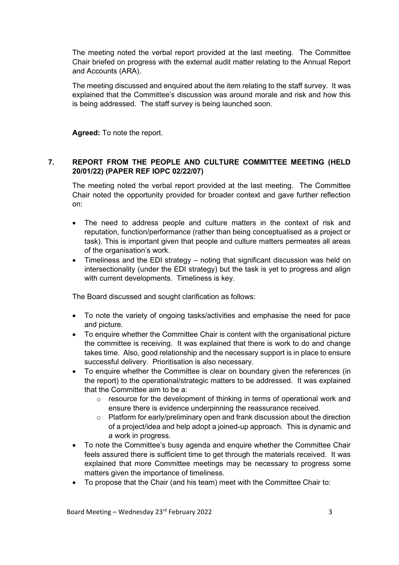The meeting noted the verbal report provided at the last meeting. The Committee Chair briefed on progress with the external audit matter relating to the Annual Report and Accounts (ARA).

The meeting discussed and enquired about the item relating to the staff survey. It was explained that the Committee's discussion was around morale and risk and how this is being addressed. The staff survey is being launched soon.

**Agreed:** To note the report.

## **7. REPORT FROM THE PEOPLE AND CULTURE COMMITTEE MEETING (HELD 20/01/22) (PAPER REF IOPC 02/22/07)**

The meeting noted the verbal report provided at the last meeting. The Committee Chair noted the opportunity provided for broader context and gave further reflection on:

- The need to address people and culture matters in the context of risk and reputation, function/performance (rather than being conceptualised as a project or task). This is important given that people and culture matters permeates all areas of the organisation's work.
- Timeliness and the EDI strategy noting that significant discussion was held on intersectionality (under the EDI strategy) but the task is yet to progress and align with current developments. Timeliness is key.

The Board discussed and sought clarification as follows:

- To note the variety of ongoing tasks/activities and emphasise the need for pace and picture.
- To enquire whether the Committee Chair is content with the organisational picture the committee is receiving. It was explained that there is work to do and change takes time. Also, good relationship and the necessary support is in place to ensure successful delivery. Prioritisation is also necessary.
- To enquire whether the Committee is clear on boundary given the references (in the report) to the operational/strategic matters to be addressed. It was explained that the Committee aim to be a:
	- $\circ$  resource for the development of thinking in terms of operational work and ensure there is evidence underpinning the reassurance received.
	- $\circ$  Platform for early/preliminary open and frank discussion about the direction of a project/idea and help adopt a joined-up approach. This is dynamic and a work in progress.
- To note the Committee's busy agenda and enquire whether the Committee Chair feels assured there is sufficient time to get through the materials received. It was explained that more Committee meetings may be necessary to progress some matters given the importance of timeliness.
- To propose that the Chair (and his team) meet with the Committee Chair to: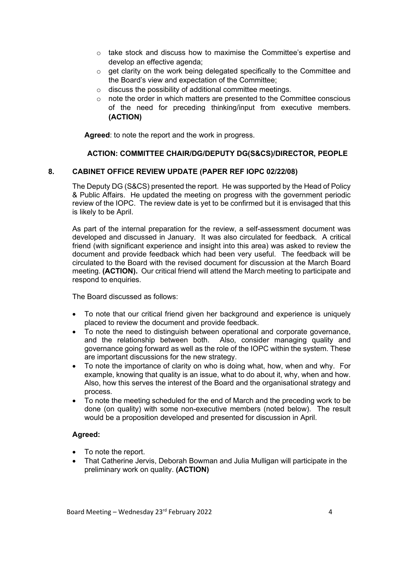- $\circ$  take stock and discuss how to maximise the Committee's expertise and develop an effective agenda;
- $\circ$  get clarity on the work being delegated specifically to the Committee and the Board's view and expectation of the Committee;
- o discuss the possibility of additional committee meetings.
- o note the order in which matters are presented to the Committee conscious of the need for preceding thinking/input from executive members. **(ACTION)**

**Agreed**: to note the report and the work in progress.

#### **ACTION: COMMITTEE CHAIR/DG/DEPUTY DG(S&CS)/DIRECTOR, PEOPLE**

#### **8. CABINET OFFICE REVIEW UPDATE (PAPER REF IOPC 02/22/08)**

The Deputy DG (S&CS) presented the report. He was supported by the Head of Policy & Public Affairs. He updated the meeting on progress with the government periodic review of the IOPC. The review date is yet to be confirmed but it is envisaged that this is likely to be April.

As part of the internal preparation for the review, a self-assessment document was developed and discussed in January. It was also circulated for feedback. A critical friend (with significant experience and insight into this area) was asked to review the document and provide feedback which had been very useful. The feedback will be circulated to the Board with the revised document for discussion at the March Board meeting. **(ACTION).** Our critical friend will attend the March meeting to participate and respond to enquiries.

The Board discussed as follows:

- To note that our critical friend given her background and experience is uniquely placed to review the document and provide feedback.
- To note the need to distinguish between operational and corporate governance, and the relationship between both. Also, consider managing quality and governance going forward as well as the role of the IOPC within the system. These are important discussions for the new strategy.
- To note the importance of clarity on who is doing what, how, when and why. For example, knowing that quality is an issue, what to do about it, why, when and how. Also, how this serves the interest of the Board and the organisational strategy and process.
- To note the meeting scheduled for the end of March and the preceding work to be done (on quality) with some non-executive members (noted below). The result would be a proposition developed and presented for discussion in April.

#### **Agreed:**

- To note the report.
- That Catherine Jervis, Deborah Bowman and Julia Mulligan will participate in the preliminary work on quality. **(ACTION)**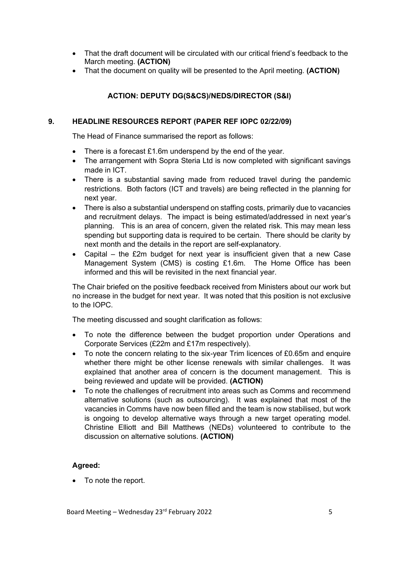- That the draft document will be circulated with our critical friend's feedback to the March meeting. **(ACTION)**
- That the document on quality will be presented to the April meeting. **(ACTION)**

## **ACTION: DEPUTY DG(S&CS)/NEDS/DIRECTOR (S&I)**

#### **9. HEADLINE RESOURCES REPORT (PAPER REF IOPC 02/22/09)**

The Head of Finance summarised the report as follows:

- There is a forecast £1.6m underspend by the end of the year.
- The arrangement with Sopra Steria Ltd is now completed with significant savings made in ICT.
- There is a substantial saving made from reduced travel during the pandemic restrictions. Both factors (ICT and travels) are being reflected in the planning for next year.
- There is also a substantial underspend on staffing costs, primarily due to vacancies and recruitment delays. The impact is being estimated/addressed in next year's planning. This is an area of concern, given the related risk. This may mean less spending but supporting data is required to be certain. There should be clarity by next month and the details in the report are self-explanatory.
- Capital the  $£2m$  budget for next year is insufficient given that a new Case Management System (CMS) is costing £1.6m. The Home Office has been informed and this will be revisited in the next financial year.

The Chair briefed on the positive feedback received from Ministers about our work but no increase in the budget for next year. It was noted that this position is not exclusive to the IOPC.

The meeting discussed and sought clarification as follows:

- To note the difference between the budget proportion under Operations and Corporate Services (£22m and £17m respectively).
- To note the concern relating to the six-year Trim licences of £0.65m and enquire whether there might be other license renewals with similar challenges. It was explained that another area of concern is the document management. This is being reviewed and update will be provided. **(ACTION)**
- To note the challenges of recruitment into areas such as Comms and recommend alternative solutions (such as outsourcing). It was explained that most of the vacancies in Comms have now been filled and the team is now stabilised, but work is ongoing to develop alternative ways through a new target operating model. Christine Elliott and Bill Matthews (NEDs) volunteered to contribute to the discussion on alternative solutions. **(ACTION)**

## **Agreed:**

• To note the report.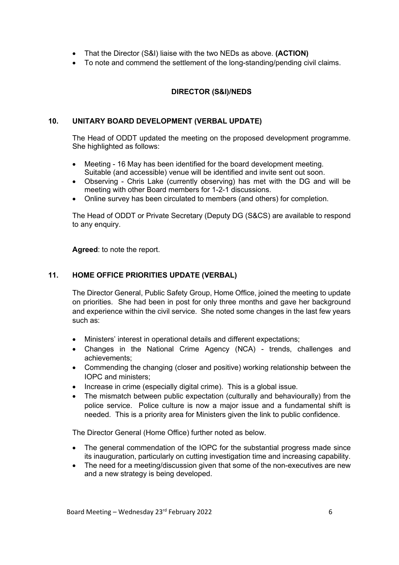- That the Director (S&I) liaise with the two NEDs as above. **(ACTION)**
- To note and commend the settlement of the long-standing/pending civil claims.

## **DIRECTOR (S&I)/NEDS**

#### **10. UNITARY BOARD DEVELOPMENT (VERBAL UPDATE)**

The Head of ODDT updated the meeting on the proposed development programme. She highlighted as follows:

- Meeting 16 May has been identified for the board development meeting. Suitable (and accessible) venue will be identified and invite sent out soon.
- Observing Chris Lake (currently observing) has met with the DG and will be meeting with other Board members for 1-2-1 discussions.
- Online survey has been circulated to members (and others) for completion.

The Head of ODDT or Private Secretary (Deputy DG (S&CS) are available to respond to any enquiry.

**Agreed**: to note the report.

## **11. HOME OFFICE PRIORITIES UPDATE (VERBAL)**

The Director General, Public Safety Group, Home Office, joined the meeting to update on priorities. She had been in post for only three months and gave her background and experience within the civil service. She noted some changes in the last few years such as:

- Ministers' interest in operational details and different expectations;
- Changes in the National Crime Agency (NCA) trends, challenges and achievements;
- Commending the changing (closer and positive) working relationship between the IOPC and ministers;
- Increase in crime (especially digital crime). This is a global issue.
- The mismatch between public expectation (culturally and behaviourally) from the police service. Police culture is now a major issue and a fundamental shift is needed. This is a priority area for Ministers given the link to public confidence.

The Director General (Home Office) further noted as below.

- The general commendation of the IOPC for the substantial progress made since its inauguration, particularly on cutting investigation time and increasing capability.
- The need for a meeting/discussion given that some of the non-executives are new and a new strategy is being developed.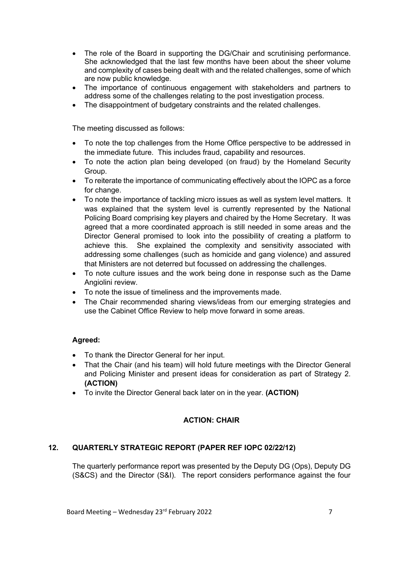- The role of the Board in supporting the DG/Chair and scrutinising performance. She acknowledged that the last few months have been about the sheer volume and complexity of cases being dealt with and the related challenges, some of which are now public knowledge.
- The importance of continuous engagement with stakeholders and partners to address some of the challenges relating to the post investigation process.
- The disappointment of budgetary constraints and the related challenges.

The meeting discussed as follows:

- To note the top challenges from the Home Office perspective to be addressed in the immediate future. This includes fraud, capability and resources.
- To note the action plan being developed (on fraud) by the Homeland Security Group.
- To reiterate the importance of communicating effectively about the IOPC as a force for change.
- To note the importance of tackling micro issues as well as system level matters. It was explained that the system level is currently represented by the National Policing Board comprising key players and chaired by the Home Secretary. It was agreed that a more coordinated approach is still needed in some areas and the Director General promised to look into the possibility of creating a platform to achieve this. She explained the complexity and sensitivity associated with addressing some challenges (such as homicide and gang violence) and assured that Ministers are not deterred but focussed on addressing the challenges.
- To note culture issues and the work being done in response such as the Dame Angiolini review.
- To note the issue of timeliness and the improvements made.
- The Chair recommended sharing views/ideas from our emerging strategies and use the Cabinet Office Review to help move forward in some areas.

#### **Agreed:**

- To thank the Director General for her input.
- That the Chair (and his team) will hold future meetings with the Director General and Policing Minister and present ideas for consideration as part of Strategy 2. **(ACTION)**
- To invite the Director General back later on in the year. **(ACTION)**

## **ACTION: CHAIR**

## **12. QUARTERLY STRATEGIC REPORT (PAPER REF IOPC 02/22/12)**

The quarterly performance report was presented by the Deputy DG (Ops), Deputy DG (S&CS) and the Director (S&I). The report considers performance against the four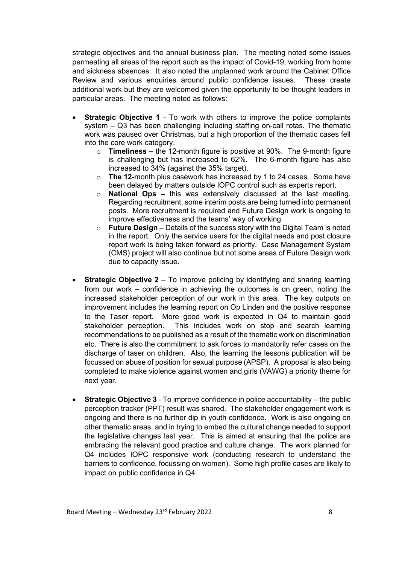strategic objectives and the annual business plan. The meeting noted some issues permeating all areas of the report such as the impact of Covid-19, working from home and sickness absences. It also noted the unplanned work around the Cabinet Office Review and various enquiries around public confidence issues. These create additional work but they are welcomed given the opportunity to be thought leaders in particular areas. The meeting noted as follows:

- **Strategic Objective 1** To work with others to improve the police complaints system – Q3 has been challenging including staffing on-call rotas. The thematic work was paused over Christmas, but a high proportion of the thematic cases fell into the core work category.
	- o **Timeliness –** the 12-month figure is positive at 90%. The 9-month figure is challenging but has increased to 62%. The 6-month figure has also increased to 34% (against the 35% target).
	- o **The 12-**month plus casework has increased by 1 to 24 cases. Some have been delayed by matters outside IOPC control such as experts report.
	- o **National Ops –** this was extensively discussed at the last meeting. Regarding recruitment, some interim posts are being turned into permanent posts. More recruitment is required and Future Design work is ongoing to improve effectiveness and the teams' way of working.
	- o **Future Design** Details of the success story with the Digital Team is noted in the report. Only the service users for the digital needs and post closure report work is being taken forward as priority. Case Management System (CMS) project will also continue but not some areas of Future Design work due to capacity issue.
- **Strategic Objective 2** To improve policing by identifying and sharing learning from our work – confidence in achieving the outcomes is on green, noting the increased stakeholder perception of our work in this area. The key outputs on improvement includes the learning report on Op Linden and the positive response to the Taser report. More good work is expected in Q4 to maintain good stakeholder perception. This includes work on stop and search learning recommendations to be published as a result of the thematic work on discrimination etc. There is also the commitment to ask forces to mandatorily refer cases on the discharge of taser on children. Also, the learning the lessons publication will be focussed on abuse of position for sexual purpose (APSP). A proposal is also being completed to make violence against women and girls (VAWG) a priority theme for next year.
- **Strategic Objective 3** To improve confidence in police accountability the public perception tracker (PPT) result was shared. The stakeholder engagement work is ongoing and there is no further dip in youth confidence. Work is also ongoing on other thematic areas, and in trying to embed the cultural change needed to support the legislative changes last year. This is aimed at ensuring that the police are embracing the relevant good practice and culture change. The work planned for Q4 includes IOPC responsive work (conducting research to understand the barriers to confidence, focussing on women). Some high profile cases are likely to impact on public confidence in Q4.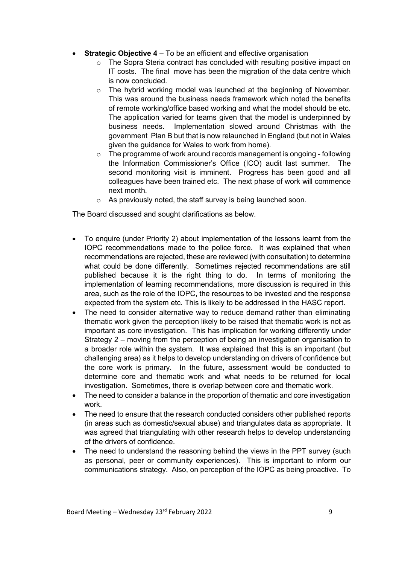- **Strategic Objective 4** To be an efficient and effective organisation
	- o The Sopra Steria contract has concluded with resulting positive impact on IT costs. The final move has been the migration of the data centre which is now concluded.
	- $\circ$  The hybrid working model was launched at the beginning of November. This was around the business needs framework which noted the benefits of remote working/office based working and what the model should be etc. The application varied for teams given that the model is underpinned by business needs. Implementation slowed around Christmas with the government Plan B but that is now relaunched in England (but not in Wales given the guidance for Wales to work from home).
	- o The programme of work around records management is ongoing following the Information Commissioner's Office (ICO) audit last summer. The second monitoring visit is imminent. Progress has been good and all colleagues have been trained etc. The next phase of work will commence next month.
	- $\circ$  As previously noted, the staff survey is being launched soon.

The Board discussed and sought clarifications as below.

- To enquire (under Priority 2) about implementation of the lessons learnt from the IOPC recommendations made to the police force. It was explained that when recommendations are rejected, these are reviewed (with consultation) to determine what could be done differently. Sometimes rejected recommendations are still published because it is the right thing to do. In terms of monitoring the implementation of learning recommendations, more discussion is required in this area, such as the role of the IOPC, the resources to be invested and the response expected from the system etc. This is likely to be addressed in the HASC report.
- The need to consider alternative way to reduce demand rather than eliminating thematic work given the perception likely to be raised that thematic work is not as important as core investigation. This has implication for working differently under Strategy 2 – moving from the perception of being an investigation organisation to a broader role within the system. It was explained that this is an important (but challenging area) as it helps to develop understanding on drivers of confidence but the core work is primary. In the future, assessment would be conducted to determine core and thematic work and what needs to be returned for local investigation. Sometimes, there is overlap between core and thematic work.
- The need to consider a balance in the proportion of thematic and core investigation work.
- The need to ensure that the research conducted considers other published reports (in areas such as domestic/sexual abuse) and triangulates data as appropriate. It was agreed that triangulating with other research helps to develop understanding of the drivers of confidence.
- The need to understand the reasoning behind the views in the PPT survey (such as personal, peer or community experiences). This is important to inform our communications strategy. Also, on perception of the IOPC as being proactive. To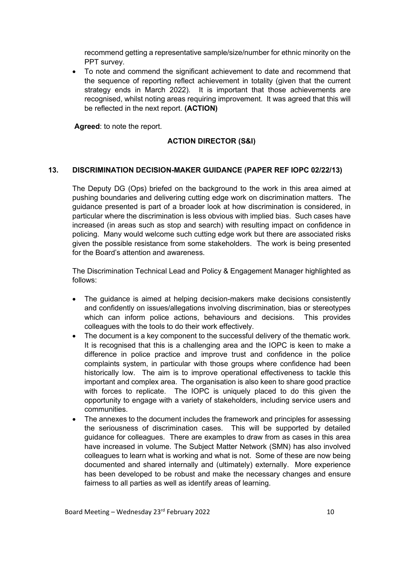recommend getting a representative sample/size/number for ethnic minority on the PPT survey.

• To note and commend the significant achievement to date and recommend that the sequence of reporting reflect achievement in totality (given that the current strategy ends in March 2022). It is important that those achievements are recognised, whilst noting areas requiring improvement. It was agreed that this will be reflected in the next report. **(ACTION)**

**Agreed**: to note the report.

## **ACTION DIRECTOR (S&I)**

## **13. DISCRIMINATION DECISION-MAKER GUIDANCE (PAPER REF IOPC 02/22/13)**

The Deputy DG (Ops) briefed on the background to the work in this area aimed at pushing boundaries and delivering cutting edge work on discrimination matters. The guidance presented is part of a broader look at how discrimination is considered, in particular where the discrimination is less obvious with implied bias. Such cases have increased (in areas such as stop and search) with resulting impact on confidence in policing. Many would welcome such cutting edge work but there are associated risks given the possible resistance from some stakeholders. The work is being presented for the Board's attention and awareness.

The Discrimination Technical Lead and Policy & Engagement Manager highlighted as follows:

- The guidance is aimed at helping decision-makers make decisions consistently and confidently on issues/allegations involving discrimination, bias or stereotypes which can inform police actions, behaviours and decisions. This provides colleagues with the tools to do their work effectively.
- The document is a key component to the successful delivery of the thematic work. It is recognised that this is a challenging area and the IOPC is keen to make a difference in police practice and improve trust and confidence in the police complaints system, in particular with those groups where confidence had been historically low. The aim is to improve operational effectiveness to tackle this important and complex area. The organisation is also keen to share good practice with forces to replicate. The IOPC is uniquely placed to do this given the opportunity to engage with a variety of stakeholders, including service users and communities.
- The annexes to the document includes the framework and principles for assessing the seriousness of discrimination cases. This will be supported by detailed guidance for colleagues. There are examples to draw from as cases in this area have increased in volume. The Subject Matter Network (SMN) has also involved colleagues to learn what is working and what is not. Some of these are now being documented and shared internally and (ultimately) externally. More experience has been developed to be robust and make the necessary changes and ensure fairness to all parties as well as identify areas of learning.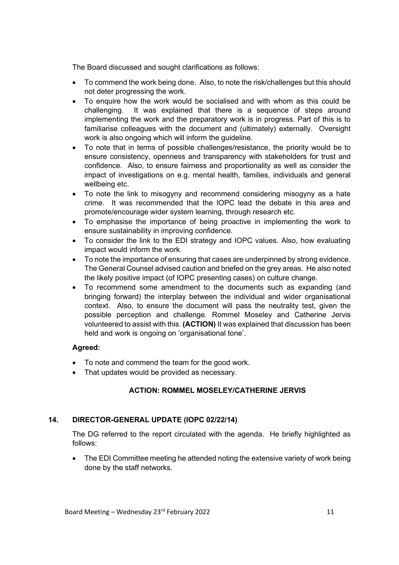The Board discussed and sought clarifications as follows:

- To commend the work being done. Also, to note the risk/challenges but this should not deter progressing the work.
- To enquire how the work would be socialised and with whom as this could be challenging. It was explained that there is a sequence of steps around implementing the work and the preparatory work is in progress. Part of this is to familiarise colleagues with the document and (ultimately) externally. Oversight work is also ongoing which will inform the guideline.
- To note that in terms of possible challenges/resistance, the priority would be to ensure consistency, openness and transparency with stakeholders for trust and confidence. Also, to ensure fairness and proportionality as well as consider the impact of investigations on e.g. mental health, families, individuals and general wellbeing etc.
- To note the link to misogyny and recommend considering misogyny as a hate crime. It was recommended that the IOPC lead the debate in this area and promote/encourage wider system learning, through research etc.
- To emphasise the importance of being proactive in implementing the work to ensure sustainability in improving confidence.
- To consider the link to the EDI strategy and IOPC values. Also, how evaluating impact would inform the work.
- To note the importance of ensuring that cases are underpinned by strong evidence. The General Counsel advised caution and briefed on the grey areas. He also noted the likely positive impact (of IOPC presenting cases) on culture change.
- To recommend some amendment to the documents such as expanding (and bringing forward) the interplay between the individual and wider organisational context. Also, to ensure the document will pass the neutrality test, given the possible perception and challenge. Rommel Moseley and Catherine Jervis volunteered to assist with this. **(ACTION)** It was explained that discussion has been held and work is ongoing on 'organisational tone'.

#### **Agreed:**

- To note and commend the team for the good work.
- That updates would be provided as necessary.

## **ACTION: ROMMEL MOSELEY/CATHERINE JERVIS**

## **14. DIRECTOR-GENERAL UPDATE (IOPC 02/22/14)**

The DG referred to the report circulated with the agenda. He briefly highlighted as follows:

• The EDI Committee meeting he attended noting the extensive variety of work being done by the staff networks.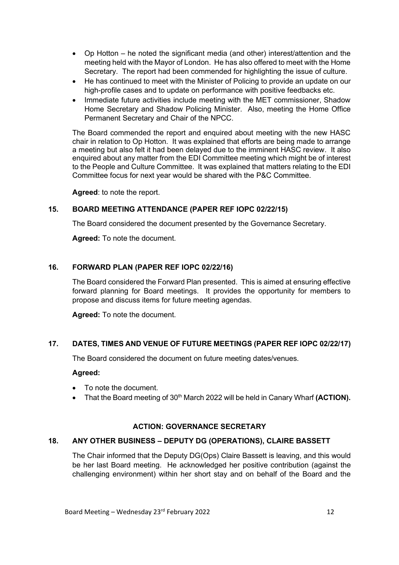- Op Hotton he noted the significant media (and other) interest/attention and the meeting held with the Mayor of London. He has also offered to meet with the Home Secretary. The report had been commended for highlighting the issue of culture.
- He has continued to meet with the Minister of Policing to provide an update on our high-profile cases and to update on performance with positive feedbacks etc.
- Immediate future activities include meeting with the MET commissioner, Shadow Home Secretary and Shadow Policing Minister. Also, meeting the Home Office Permanent Secretary and Chair of the NPCC.

The Board commended the report and enquired about meeting with the new HASC chair in relation to Op Hotton. It was explained that efforts are being made to arrange a meeting but also felt it had been delayed due to the imminent HASC review. It also enquired about any matter from the EDI Committee meeting which might be of interest to the People and Culture Committee. It was explained that matters relating to the EDI Committee focus for next year would be shared with the P&C Committee.

**Agreed**: to note the report.

## **15. BOARD MEETING ATTENDANCE (PAPER REF IOPC 02/22/15)**

The Board considered the document presented by the Governance Secretary.

**Agreed:** To note the document.

#### **16. FORWARD PLAN (PAPER REF IOPC 02/22/16)**

The Board considered the Forward Plan presented. This is aimed at ensuring effective forward planning for Board meetings. It provides the opportunity for members to propose and discuss items for future meeting agendas.

**Agreed:** To note the document.

#### **17. DATES, TIMES AND VENUE OF FUTURE MEETINGS (PAPER REF IOPC 02/22/17)**

The Board considered the document on future meeting dates/venues.

#### **Agreed:**

- To note the document.
- That the Board meeting of 30<sup>th</sup> March 2022 will be held in Canary Wharf **(ACTION).**

#### **ACTION: GOVERNANCE SECRETARY**

#### **18. ANY OTHER BUSINESS – DEPUTY DG (OPERATIONS), CLAIRE BASSETT**

The Chair informed that the Deputy DG(Ops) Claire Bassett is leaving, and this would be her last Board meeting. He acknowledged her positive contribution (against the challenging environment) within her short stay and on behalf of the Board and the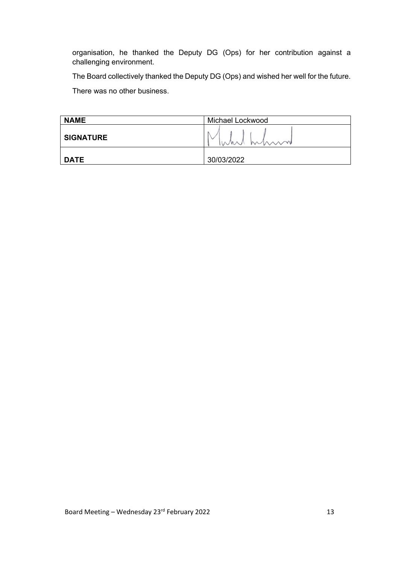organisation, he thanked the Deputy DG (Ops) for her contribution against a challenging environment.

The Board collectively thanked the Deputy DG (Ops) and wished her well for the future.

There was no other business.

| <b>NAME</b>      | Michael Lockwood |
|------------------|------------------|
| <b>SIGNATURE</b> | IWAN MUM         |
| <b>DATE</b>      | 30/03/2022       |